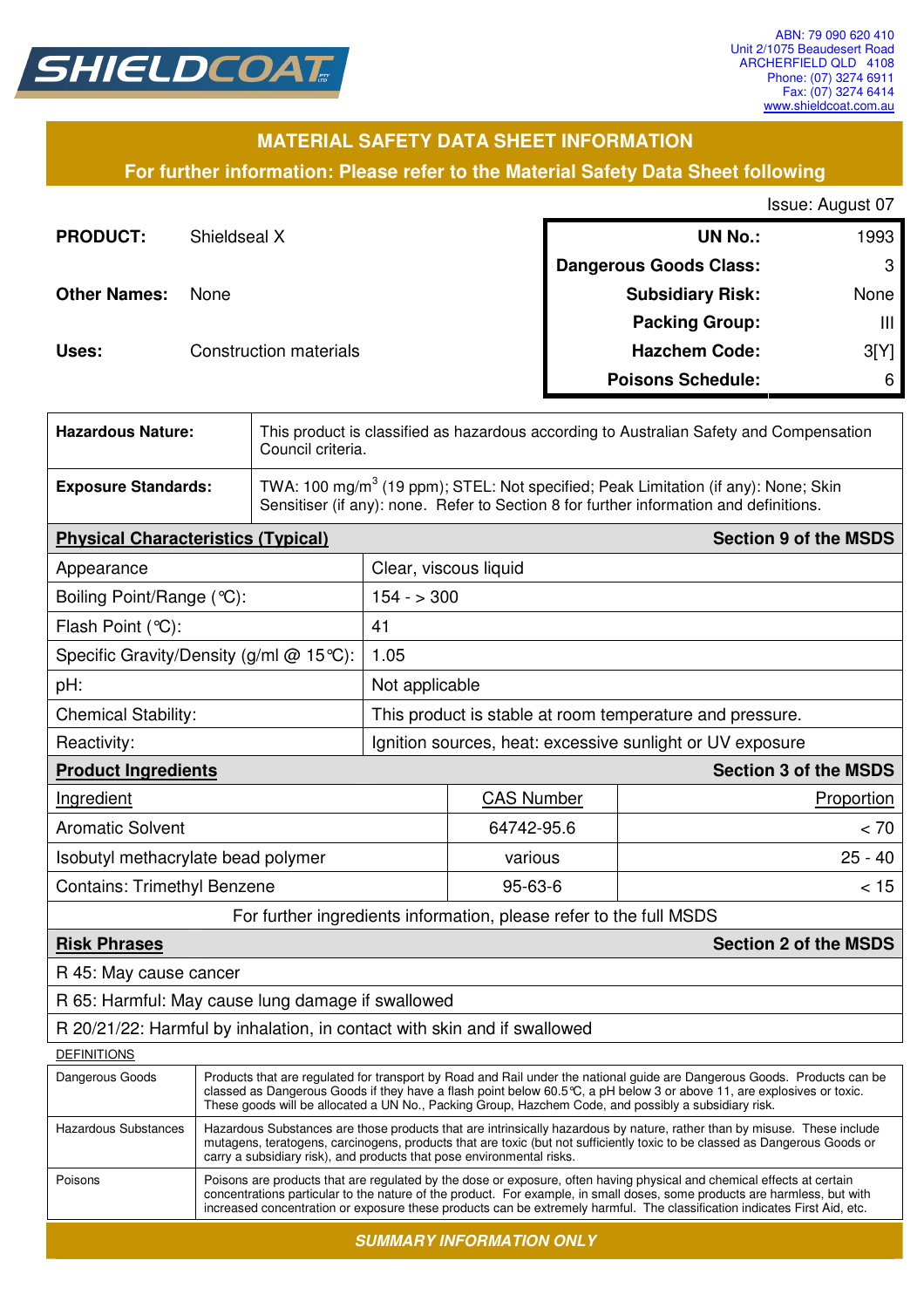

## **MATERIAL SAFETY DATA SHEET INFORMATION**

**For further information: Please refer to the Material Safety Data Sheet following**

Issue: August 07

| <b>PRODUCT:</b>     | Shieldseal X                  | <b>UN No.:</b>                | 1993 |
|---------------------|-------------------------------|-------------------------------|------|
|                     |                               | <b>Dangerous Goods Class:</b> | 3    |
| <b>Other Names:</b> | <b>None</b>                   | <b>Subsidiary Risk:</b>       | None |
|                     |                               | <b>Packing Group:</b>         | Ш    |
| Uses:               | <b>Construction materials</b> | <b>Hazchem Code:</b>          | 3[Y] |
|                     |                               | <b>Poisons Schedule:</b>      | 6    |

| <b>Hazardous Nature:</b>                                                 |                                                                                                                                                                                                                                                                                                                                                                                  | This product is classified as hazardous according to Australian Safety and Compensation<br>Council criteria.                                                                             |                                                          |                   |                              |  |
|--------------------------------------------------------------------------|----------------------------------------------------------------------------------------------------------------------------------------------------------------------------------------------------------------------------------------------------------------------------------------------------------------------------------------------------------------------------------|------------------------------------------------------------------------------------------------------------------------------------------------------------------------------------------|----------------------------------------------------------|-------------------|------------------------------|--|
| <b>Exposure Standards:</b>                                               |                                                                                                                                                                                                                                                                                                                                                                                  | TWA: 100 mg/m <sup>3</sup> (19 ppm); STEL: Not specified; Peak Limitation (if any): None; Skin<br>Sensitiser (if any): none. Refer to Section 8 for further information and definitions. |                                                          |                   |                              |  |
| <b>Physical Characteristics (Typical)</b>                                |                                                                                                                                                                                                                                                                                                                                                                                  |                                                                                                                                                                                          |                                                          |                   | <b>Section 9 of the MSDS</b> |  |
| Appearance                                                               |                                                                                                                                                                                                                                                                                                                                                                                  |                                                                                                                                                                                          | Clear, viscous liquid                                    |                   |                              |  |
| Boiling Point/Range (°C):                                                |                                                                                                                                                                                                                                                                                                                                                                                  |                                                                                                                                                                                          | $154 - 300$                                              |                   |                              |  |
| Flash Point (°C):                                                        |                                                                                                                                                                                                                                                                                                                                                                                  |                                                                                                                                                                                          | 41                                                       |                   |                              |  |
| Specific Gravity/Density (g/ml @ 15°C):                                  |                                                                                                                                                                                                                                                                                                                                                                                  |                                                                                                                                                                                          | 1.05                                                     |                   |                              |  |
| pH:                                                                      |                                                                                                                                                                                                                                                                                                                                                                                  |                                                                                                                                                                                          | Not applicable                                           |                   |                              |  |
| <b>Chemical Stability:</b>                                               |                                                                                                                                                                                                                                                                                                                                                                                  |                                                                                                                                                                                          | This product is stable at room temperature and pressure. |                   |                              |  |
| Reactivity:                                                              |                                                                                                                                                                                                                                                                                                                                                                                  | Ignition sources, heat: excessive sunlight or UV exposure                                                                                                                                |                                                          |                   |                              |  |
| <b>Product Ingredients</b>                                               |                                                                                                                                                                                                                                                                                                                                                                                  |                                                                                                                                                                                          |                                                          |                   | <b>Section 3 of the MSDS</b> |  |
| Ingredient                                                               |                                                                                                                                                                                                                                                                                                                                                                                  |                                                                                                                                                                                          |                                                          | <b>CAS Number</b> | Proportion                   |  |
| <b>Aromatic Solvent</b>                                                  |                                                                                                                                                                                                                                                                                                                                                                                  |                                                                                                                                                                                          |                                                          | 64742-95.6        | < 70                         |  |
| Isobutyl methacrylate bead polymer                                       |                                                                                                                                                                                                                                                                                                                                                                                  |                                                                                                                                                                                          |                                                          | various           | $25 - 40$                    |  |
| <b>Contains: Trimethyl Benzene</b>                                       |                                                                                                                                                                                                                                                                                                                                                                                  |                                                                                                                                                                                          |                                                          | 95-63-6           | < 15                         |  |
| For further ingredients information, please refer to the full MSDS       |                                                                                                                                                                                                                                                                                                                                                                                  |                                                                                                                                                                                          |                                                          |                   |                              |  |
| <b>Risk Phrases</b><br><b>Section 2 of the MSDS</b>                      |                                                                                                                                                                                                                                                                                                                                                                                  |                                                                                                                                                                                          |                                                          |                   |                              |  |
| R 45: May cause cancer                                                   |                                                                                                                                                                                                                                                                                                                                                                                  |                                                                                                                                                                                          |                                                          |                   |                              |  |
| R 65: Harmful: May cause lung damage if swallowed                        |                                                                                                                                                                                                                                                                                                                                                                                  |                                                                                                                                                                                          |                                                          |                   |                              |  |
| R 20/21/22: Harmful by inhalation, in contact with skin and if swallowed |                                                                                                                                                                                                                                                                                                                                                                                  |                                                                                                                                                                                          |                                                          |                   |                              |  |
| <b>DEFINITIONS</b>                                                       |                                                                                                                                                                                                                                                                                                                                                                                  |                                                                                                                                                                                          |                                                          |                   |                              |  |
| Dangerous Goods                                                          | Products that are regulated for transport by Road and Rail under the national guide are Dangerous Goods. Products can be<br>classed as Dangerous Goods if they have a flash point below 60.5℃, a pH below 3 or above 11, are explosives or toxic.<br>These goods will be allocated a UN No., Packing Group, Hazchem Code, and possibly a subsidiary risk.                        |                                                                                                                                                                                          |                                                          |                   |                              |  |
| <b>Hazardous Substances</b>                                              | Hazardous Substances are those products that are intrinsically hazardous by nature, rather than by misuse. These include<br>mutagens, teratogens, carcinogens, products that are toxic (but not sufficiently toxic to be classed as Dangerous Goods or<br>carry a subsidiary risk), and products that pose environmental risks.                                                  |                                                                                                                                                                                          |                                                          |                   |                              |  |
| Poisons                                                                  | Poisons are products that are regulated by the dose or exposure, often having physical and chemical effects at certain<br>concentrations particular to the nature of the product. For example, in small doses, some products are harmless, but with<br>increased concentration or exposure these products can be extremely harmful. The classification indicates First Aid, etc. |                                                                                                                                                                                          |                                                          |                   |                              |  |

**SUMMARY INFORMATION ONLY**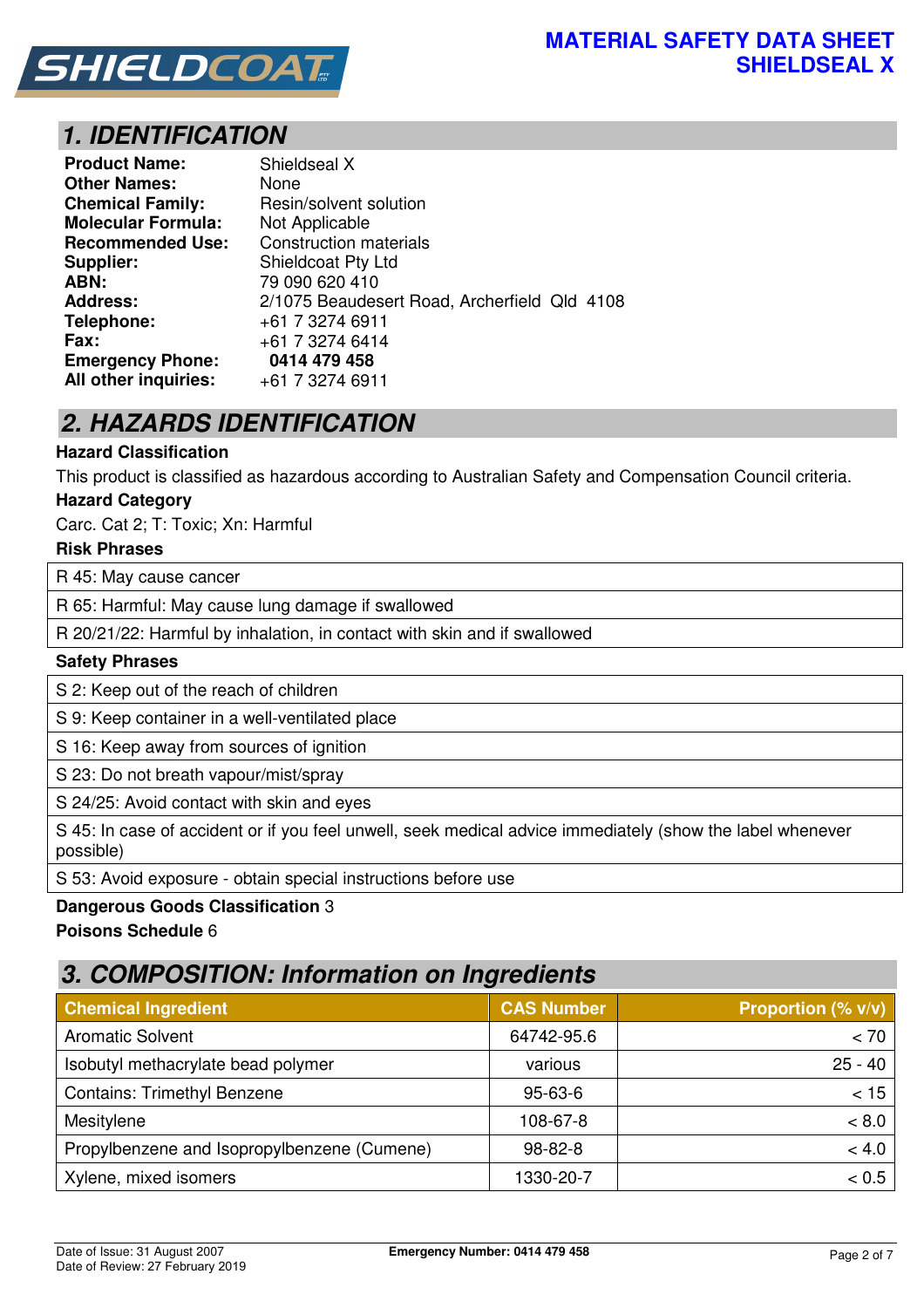

# **1. IDENTIFICATION**

| <b>Product Name:</b>      | Shieldseal X                                 |
|---------------------------|----------------------------------------------|
| <b>Other Names:</b>       | None                                         |
| <b>Chemical Family:</b>   | Resin/solvent solution                       |
| <b>Molecular Formula:</b> | Not Applicable                               |
| <b>Recommended Use:</b>   | <b>Construction materials</b>                |
| Supplier:                 | <b>Shieldcoat Pty Ltd</b>                    |
| ABN:                      | 79 090 620 410                               |
| <b>Address:</b>           | 2/1075 Beaudesert Road, Archerfield Qld 4108 |
| Telephone:                | +61 7 3274 6911                              |
| Fax:                      | +61 7 3274 6414                              |
| <b>Emergency Phone:</b>   | 0414 479 458                                 |
| All other inquiries:      | +61 7 3274 6911                              |

# **2. HAZARDS IDENTIFICATION**

## **Hazard Classification**

This product is classified as hazardous according to Australian Safety and Compensation Council criteria.

### **Hazard Category**

Carc. Cat 2; T: Toxic; Xn: Harmful

### **Risk Phrases**

R 45: May cause cancer

R 65: Harmful: May cause lung damage if swallowed

R 20/21/22: Harmful by inhalation, in contact with skin and if swallowed

#### **Safety Phrases**

S 2: Keep out of the reach of children

S 9: Keep container in a well-ventilated place

S 16: Keep away from sources of ignition

S 23: Do not breath vapour/mist/spray

S 24/25: Avoid contact with skin and eyes

S 45: In case of accident or if you feel unwell, seek medical advice immediately (show the label whenever possible)

S 53: Avoid exposure - obtain special instructions before use

### **Dangerous Goods Classification** 3

### **Poisons Schedule** 6

## **3. COMPOSITION: Information on Ingredients**

| <b>Chemical Ingredient</b>                  | <b>CAS Number</b> | <b>Proportion (% v/v)</b> |
|---------------------------------------------|-------------------|---------------------------|
| <b>Aromatic Solvent</b>                     | 64742-95.6        | < 70                      |
| Isobutyl methacrylate bead polymer          | various           | $25 - 40$                 |
| <b>Contains: Trimethyl Benzene</b>          | $95 - 63 - 6$     | < 15                      |
| Mesitylene                                  | 108-67-8          | < 8.0                     |
| Propylbenzene and Isopropylbenzene (Cumene) | $98 - 82 - 8$     | < 4.0                     |
| Xylene, mixed isomers                       | 1330-20-7         | < 0.5                     |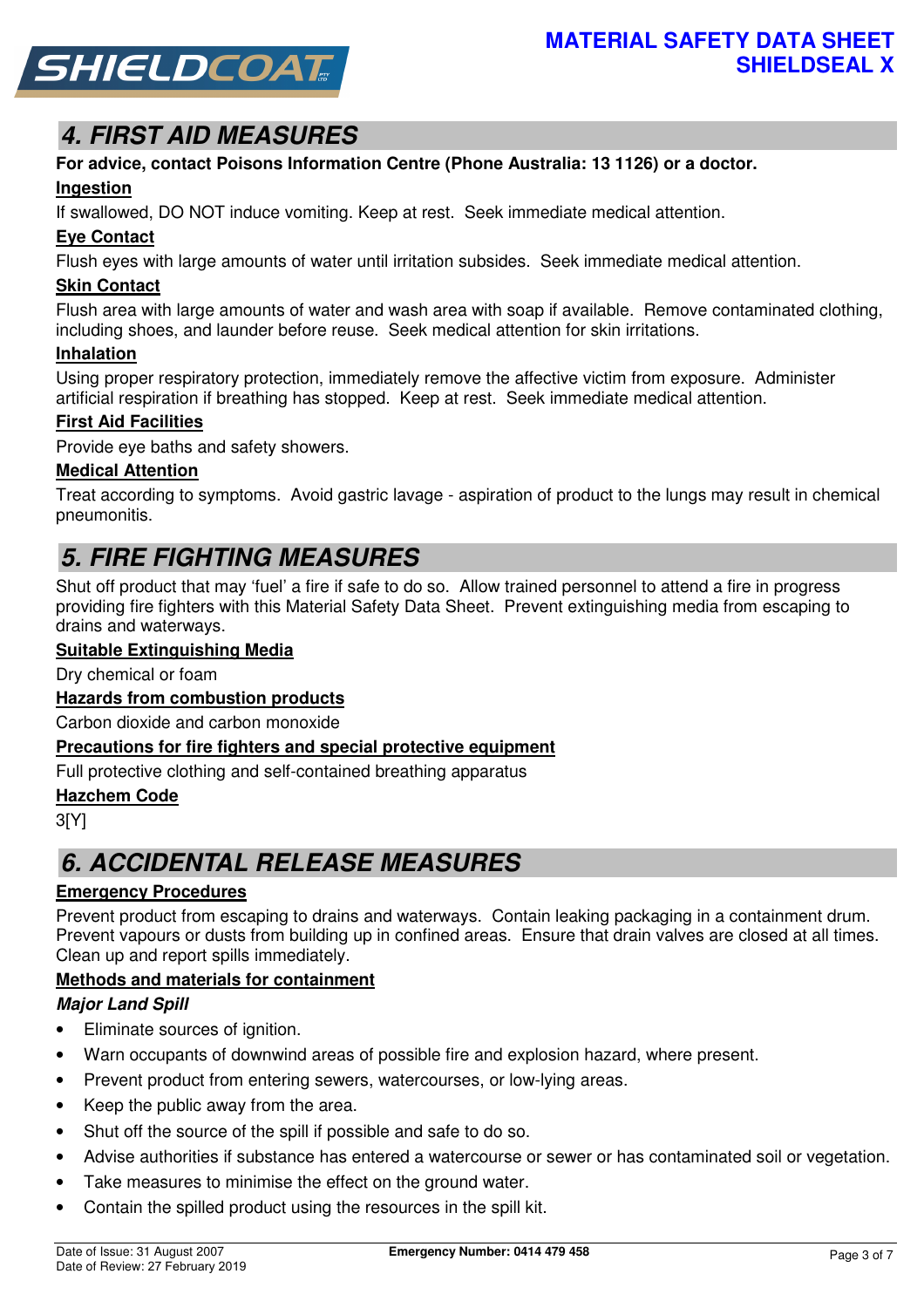

# **4. FIRST AID MEASURES**

# **For advice, contact Poisons Information Centre (Phone Australia: 13 1126) or a doctor.**

## **Ingestion**

If swallowed, DO NOT induce vomiting. Keep at rest. Seek immediate medical attention.

## **Eye Contact**

Flush eyes with large amounts of water until irritation subsides. Seek immediate medical attention.

## **Skin Contact**

Flush area with large amounts of water and wash area with soap if available. Remove contaminated clothing, including shoes, and launder before reuse. Seek medical attention for skin irritations.

### **Inhalation**

Using proper respiratory protection, immediately remove the affective victim from exposure. Administer artificial respiration if breathing has stopped. Keep at rest. Seek immediate medical attention.

## **First Aid Facilities**

Provide eye baths and safety showers.

## **Medical Attention**

Treat according to symptoms. Avoid gastric lavage - aspiration of product to the lungs may result in chemical pneumonitis.

# **5. FIRE FIGHTING MEASURES**

Shut off product that may 'fuel' a fire if safe to do so. Allow trained personnel to attend a fire in progress providing fire fighters with this Material Safety Data Sheet. Prevent extinguishing media from escaping to drains and waterways.

## **Suitable Extinguishing Media**

Dry chemical or foam

## **Hazards from combustion products**

Carbon dioxide and carbon monoxide

### **Precautions for fire fighters and special protective equipment**

Full protective clothing and self-contained breathing apparatus

### **Hazchem Code**

3[Y]

# **6. ACCIDENTAL RELEASE MEASURES**

## **Emergency Procedures**

Prevent product from escaping to drains and waterways. Contain leaking packaging in a containment drum. Prevent vapours or dusts from building up in confined areas. Ensure that drain valves are closed at all times. Clean up and report spills immediately.

## **Methods and materials for containment**

## **Major Land Spill**

- Eliminate sources of ignition.
- Warn occupants of downwind areas of possible fire and explosion hazard, where present.
- Prevent product from entering sewers, watercourses, or low-lying areas.
- Keep the public away from the area.
- Shut off the source of the spill if possible and safe to do so.
- Advise authorities if substance has entered a watercourse or sewer or has contaminated soil or vegetation.
- Take measures to minimise the effect on the ground water.
- Contain the spilled product using the resources in the spill kit.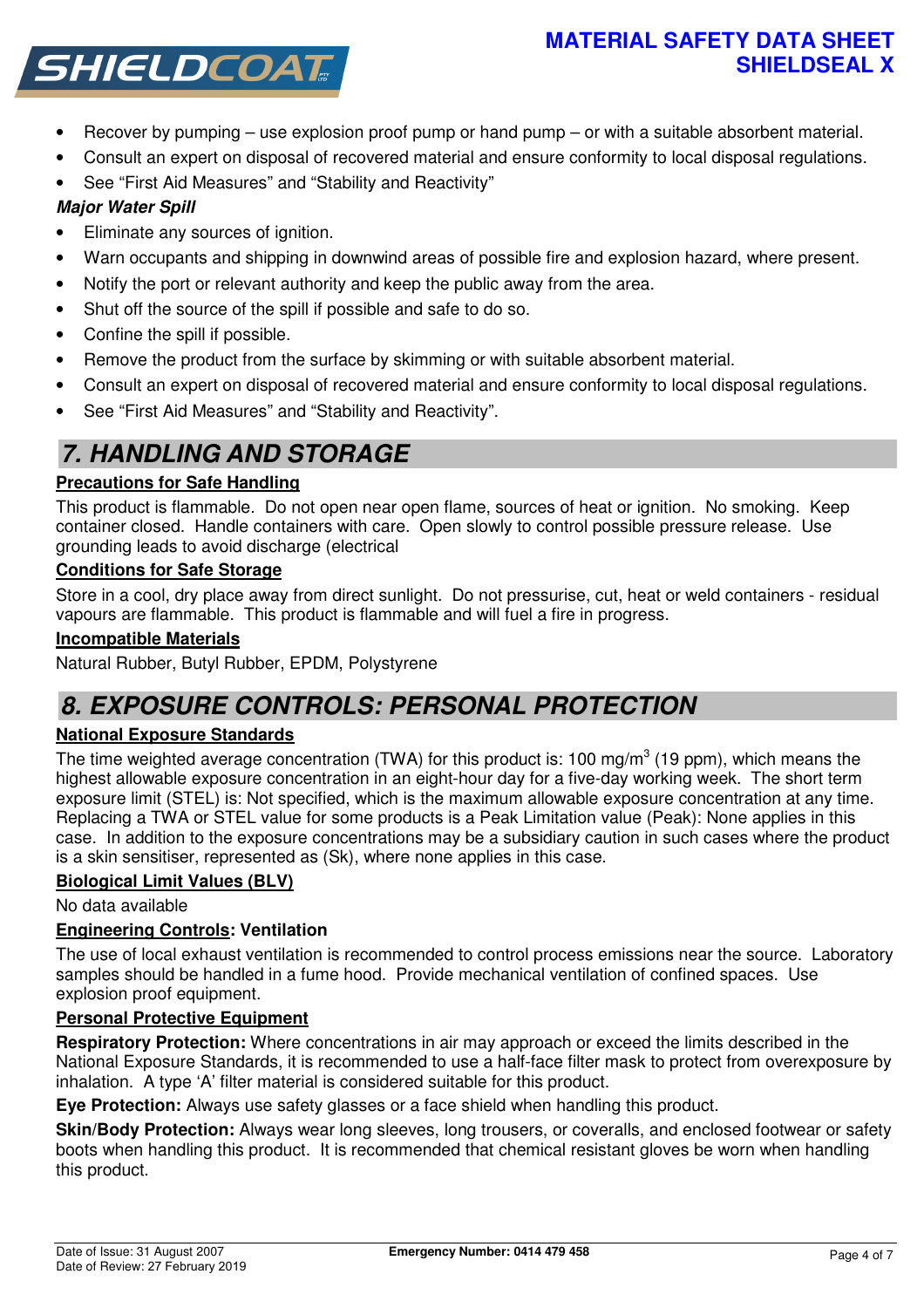## **MATERIAL SAFETY DATA SHEET SHIELDSEAL X**



- Recover by pumping use explosion proof pump or hand pump or with a suitable absorbent material.
- Consult an expert on disposal of recovered material and ensure conformity to local disposal regulations.
- See "First Aid Measures" and "Stability and Reactivity"

## **Major Water Spill**

- Eliminate any sources of ignition.
- Warn occupants and shipping in downwind areas of possible fire and explosion hazard, where present.
- Notify the port or relevant authority and keep the public away from the area.
- Shut off the source of the spill if possible and safe to do so.
- Confine the spill if possible.
- Remove the product from the surface by skimming or with suitable absorbent material.
- Consult an expert on disposal of recovered material and ensure conformity to local disposal regulations.
- See "First Aid Measures" and "Stability and Reactivity".

# **7. HANDLING AND STORAGE**

## **Precautions for Safe Handling**

This product is flammable. Do not open near open flame, sources of heat or ignition. No smoking. Keep container closed. Handle containers with care. Open slowly to control possible pressure release. Use grounding leads to avoid discharge (electrical

## **Conditions for Safe Storage**

Store in a cool, dry place away from direct sunlight. Do not pressurise, cut, heat or weld containers - residual vapours are flammable. This product is flammable and will fuel a fire in progress.

## **Incompatible Materials**

Natural Rubber, Butyl Rubber, EPDM, Polystyrene

# **8. EXPOSURE CONTROLS: PERSONAL PROTECTION**

## **National Exposure Standards**

The time weighted average concentration (TWA) for this product is: 100 mg/m<sup>3</sup> (19 ppm), which means the highest allowable exposure concentration in an eight-hour day for a five-day working week. The short term exposure limit (STEL) is: Not specified, which is the maximum allowable exposure concentration at any time. Replacing a TWA or STEL value for some products is a Peak Limitation value (Peak): None applies in this case. In addition to the exposure concentrations may be a subsidiary caution in such cases where the product is a skin sensitiser, represented as (Sk), where none applies in this case.

## **Biological Limit Values (BLV)**

No data available

## **Engineering Controls: Ventilation**

The use of local exhaust ventilation is recommended to control process emissions near the source. Laboratory samples should be handled in a fume hood. Provide mechanical ventilation of confined spaces. Use explosion proof equipment.

## **Personal Protective Equipment**

**Respiratory Protection:** Where concentrations in air may approach or exceed the limits described in the National Exposure Standards, it is recommended to use a half-face filter mask to protect from overexposure by inhalation. A type 'A' filter material is considered suitable for this product.

**Eye Protection:** Always use safety glasses or a face shield when handling this product.

**Skin/Body Protection:** Always wear long sleeves, long trousers, or coveralls, and enclosed footwear or safety boots when handling this product. It is recommended that chemical resistant gloves be worn when handling this product.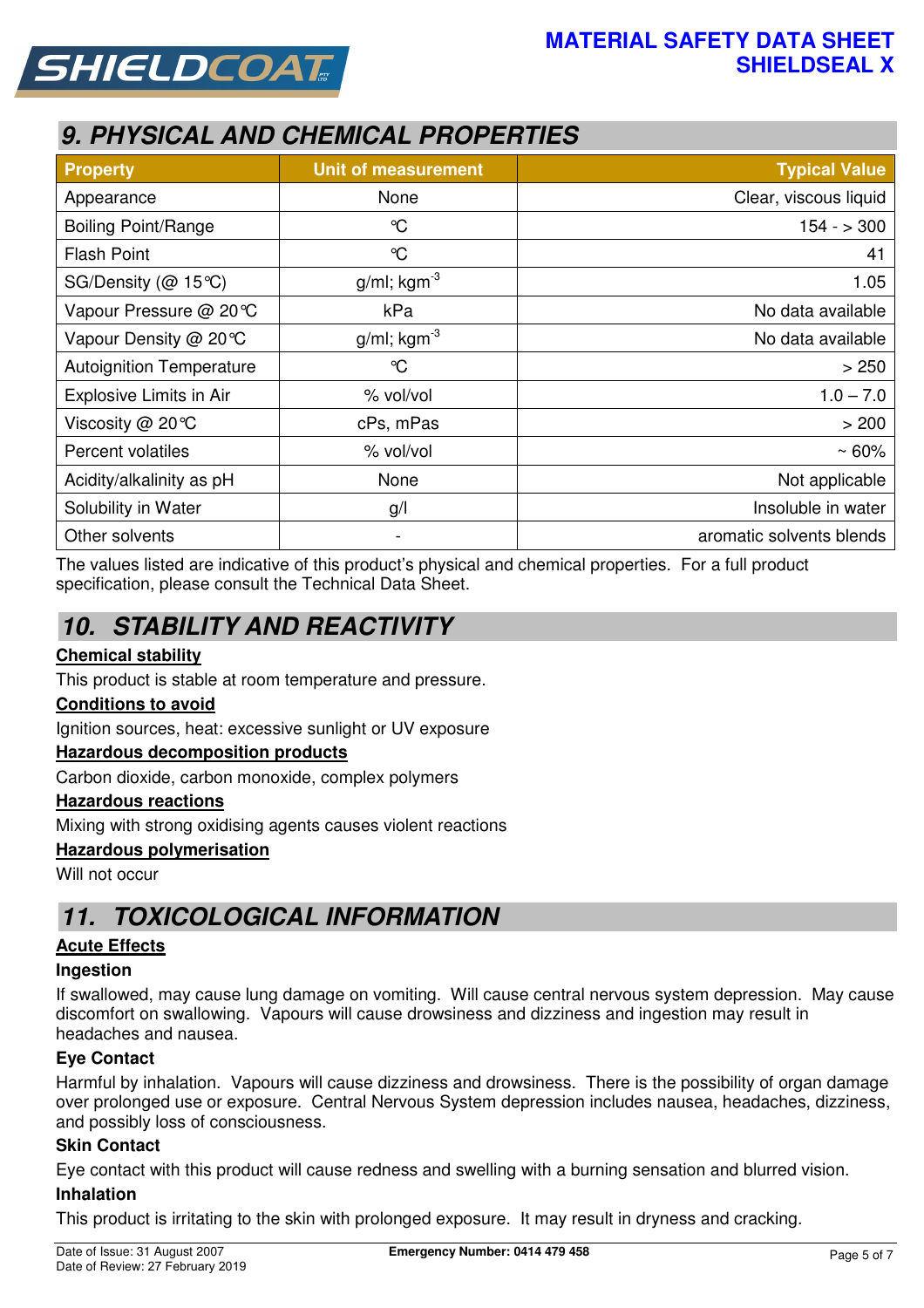



# **9. PHYSICAL AND CHEMICAL PROPERTIES**

| <b>Property</b>                 | <b>Unit of measurement</b> | <b>Typical Value</b>     |
|---------------------------------|----------------------------|--------------------------|
| Appearance                      | None                       | Clear, viscous liquid    |
| <b>Boiling Point/Range</b>      | $\mathrm{C}$               | $154 - 300$              |
| <b>Flash Point</b>              | $\mathrm{C}$               | 41                       |
| SG/Density (@ 15℃)              | $g/ml$ ; kgm <sup>-3</sup> | 1.05                     |
| Vapour Pressure @ 20℃           | kPa                        | No data available        |
| Vapour Density @ 20 °C          | $g/ml$ ; kgm <sup>-3</sup> | No data available        |
| <b>Autoignition Temperature</b> | $\mathrm{C}$               | > 250                    |
| Explosive Limits in Air         | % vol/vol                  | $1.0 - 7.0$              |
| Viscosity @ 20°C                | cPs, mPas                  | > 200                    |
| Percent volatiles               | % vol/vol                  | $~50\%$                  |
| Acidity/alkalinity as pH        | None                       | Not applicable           |
| Solubility in Water             | g/                         | Insoluble in water       |
| Other solvents                  | -                          | aromatic solvents blends |

The values listed are indicative of this product's physical and chemical properties. For a full product specification, please consult the Technical Data Sheet.

# **10. STABILITY AND REACTIVITY**

## **Chemical stability**

This product is stable at room temperature and pressure.

## **Conditions to avoid**

Ignition sources, heat: excessive sunlight or UV exposure

## **Hazardous decomposition products**

Carbon dioxide, carbon monoxide, complex polymers

### **Hazardous reactions**

Mixing with strong oxidising agents causes violent reactions

### **Hazardous polymerisation**

Will not occur

## **11. TOXICOLOGICAL INFORMATION**

### **Acute Effects**

### **Ingestion**

If swallowed, may cause lung damage on vomiting. Will cause central nervous system depression. May cause discomfort on swallowing. Vapours will cause drowsiness and dizziness and ingestion may result in headaches and nausea.

## **Eye Contact**

Harmful by inhalation. Vapours will cause dizziness and drowsiness. There is the possibility of organ damage over prolonged use or exposure. Central Nervous System depression includes nausea, headaches, dizziness, and possibly loss of consciousness.

### **Skin Contact**

Eye contact with this product will cause redness and swelling with a burning sensation and blurred vision.

### **Inhalation**

This product is irritating to the skin with prolonged exposure. It may result in dryness and cracking.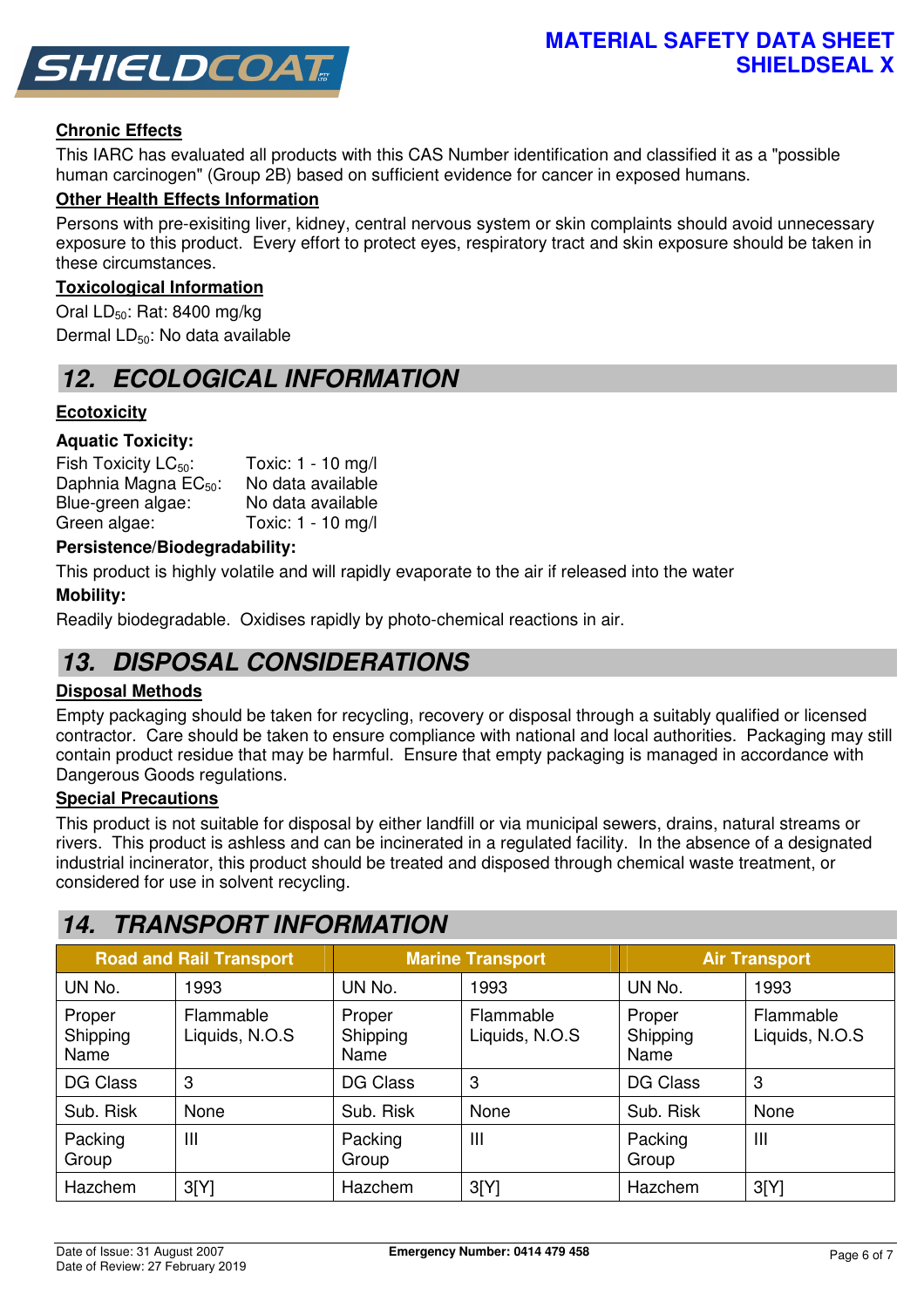

## **Chronic Effects**

This IARC has evaluated all products with this CAS Number identification and classified it as a "possible human carcinogen" (Group 2B) based on sufficient evidence for cancer in exposed humans.

### **Other Health Effects Information**

Persons with pre-exisiting liver, kidney, central nervous system or skin complaints should avoid unnecessary exposure to this product. Every effort to protect eyes, respiratory tract and skin exposure should be taken in these circumstances.

### **Toxicological Information**

Oral  $LD_{50}$ : Rat: 8400 mg/kg Dermal LD<sub>50</sub>: No data available

## **12. ECOLOGICAL INFORMATION**

### **Ecotoxicity**

### **Aquatic Toxicity:**

| Fish Toxicity $LC_{50}$ :        | Toxic: 1 - 10 mg/l |
|----------------------------------|--------------------|
| Daphnia Magna EC <sub>50</sub> : | No data available  |
| Blue-green algae:                | No data available  |
| Green algae:                     | Toxic: 1 - 10 mg/l |

### **Persistence/Biodegradability:**

This product is highly volatile and will rapidly evaporate to the air if released into the water

### **Mobility:**

Readily biodegradable. Oxidises rapidly by photo-chemical reactions in air.

## **13. DISPOSAL CONSIDERATIONS**

### **Disposal Methods**

Empty packaging should be taken for recycling, recovery or disposal through a suitably qualified or licensed contractor. Care should be taken to ensure compliance with national and local authorities. Packaging may still contain product residue that may be harmful. Ensure that empty packaging is managed in accordance with Dangerous Goods regulations.

### **Special Precautions**

This product is not suitable for disposal by either landfill or via municipal sewers, drains, natural streams or rivers. This product is ashless and can be incinerated in a regulated facility. In the absence of a designated industrial incinerator, this product should be treated and disposed through chemical waste treatment, or considered for use in solvent recycling.

## **14. TRANSPORT INFORMATION**

| <b>Road and Rail Transport</b> |                             | <b>Marine Transport</b>    |                             | <b>Air Transport</b>       |                             |
|--------------------------------|-----------------------------|----------------------------|-----------------------------|----------------------------|-----------------------------|
| UN No.                         | 1993                        | UN No.                     | 1993                        | UN No.                     | 1993                        |
| Proper<br>Shipping<br>Name     | Flammable<br>Liquids, N.O.S | Proper<br>Shipping<br>Name | Flammable<br>Liquids, N.O.S | Proper<br>Shipping<br>Name | Flammable<br>Liquids, N.O.S |
| <b>DG Class</b>                | 3                           | <b>DG Class</b>            | 3                           | <b>DG Class</b>            | 3                           |
| Sub. Risk                      | None                        | Sub. Risk                  | None                        | Sub. Risk                  | None                        |
| Packing<br>Group               | Ш                           | Packing<br>Group           | $\mathbf{III}$              | Packing<br>Group           | $\mathbf{III}$              |
| Hazchem                        | 3[Y]                        | Hazchem                    | 3[Y]                        | Hazchem                    | 3[Y]                        |